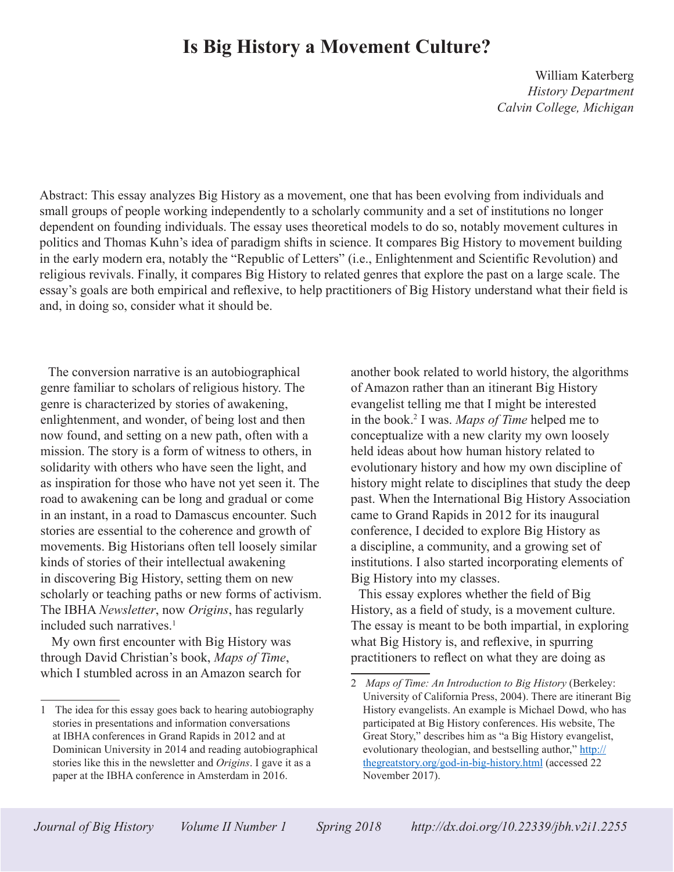# **Is Big History a Movement Culture?**

William Katerberg *History Department Calvin College, Michigan*

Abstract: This essay analyzes Big History as a movement, one that has been evolving from individuals and small groups of people working independently to a scholarly community and a set of institutions no longer dependent on founding individuals. The essay uses theoretical models to do so, notably movement cultures in politics and Thomas Kuhn's idea of paradigm shifts in science. It compares Big History to movement building in the early modern era, notably the "Republic of Letters" (i.e., Enlightenment and Scientific Revolution) and religious revivals. Finally, it compares Big History to related genres that explore the past on a large scale. The essay's goals are both empirical and reflexive, to help practitioners of Big History understand what their field is and, in doing so, consider what it should be.

The conversion narrative is an autobiographical genre familiar to scholars of religious history. The genre is characterized by stories of awakening, enlightenment, and wonder, of being lost and then now found, and setting on a new path, often with a mission. The story is a form of witness to others, in solidarity with others who have seen the light, and as inspiration for those who have not yet seen it. The road to awakening can be long and gradual or come in an instant, in a road to Damascus encounter. Such stories are essential to the coherence and growth of movements. Big Historians often tell loosely similar kinds of stories of their intellectual awakening in discovering Big History, setting them on new scholarly or teaching paths or new forms of activism. The IBHA *Newsletter*, now *Origins*, has regularly included such narratives.<sup>1</sup>

 My own first encounter with Big History was through David Christian's book, *Maps of Time*, which I stumbled across in an Amazon search for another book related to world history, the algorithms of Amazon rather than an itinerant Big History evangelist telling me that I might be interested in the book.2 I was. *Maps of Time* helped me to conceptualize with a new clarity my own loosely held ideas about how human history related to evolutionary history and how my own discipline of history might relate to disciplines that study the deep past. When the International Big History Association came to Grand Rapids in 2012 for its inaugural conference, I decided to explore Big History as a discipline, a community, and a growing set of institutions. I also started incorporating elements of Big History into my classes.

This essay explores whether the field of Big History, as a field of study, is a movement culture. The essay is meant to be both impartial, in exploring what Big History is, and reflexive, in spurring practitioners to reflect on what they are doing as

<sup>1</sup> The idea for this essay goes back to hearing autobiography stories in presentations and information conversations at IBHA conferences in Grand Rapids in 2012 and at Dominican University in 2014 and reading autobiographical stories like this in the newsletter and *Origins*. I gave it as a paper at the IBHA conference in Amsterdam in 2016.

<sup>2</sup> *Maps of Time: An Introduction to Big History* (Berkeley: University of California Press, 2004). There are itinerant Big History evangelists. An example is Michael Dowd, who has participated at Big History conferences. His website, The Great Story," describes him as "a Big History evangelist, evolutionary theologian, and bestselling author," http:// thegreatstory.org/god-in-big-history.html (accessed 22 November 2017).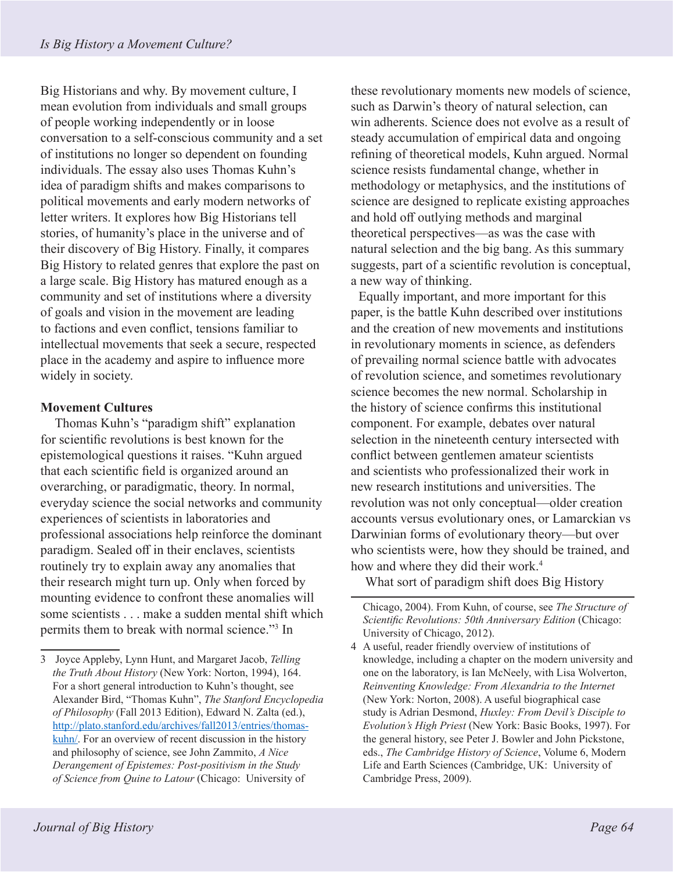Big Historians and why. By movement culture, I mean evolution from individuals and small groups of people working independently or in loose conversation to a self-conscious community and a set of institutions no longer so dependent on founding individuals. The essay also uses Thomas Kuhn's idea of paradigm shifts and makes comparisons to political movements and early modern networks of letter writers. It explores how Big Historians tell stories, of humanity's place in the universe and of their discovery of Big History. Finally, it compares Big History to related genres that explore the past on a large scale. Big History has matured enough as a community and set of institutions where a diversity of goals and vision in the movement are leading to factions and even conflict, tensions familiar to intellectual movements that seek a secure, respected place in the academy and aspire to influence more widely in society.

# **Movement Cultures**

Thomas Kuhn's "paradigm shift" explanation for scientific revolutions is best known for the epistemological questions it raises. "Kuhn argued that each scientific field is organized around an overarching, or paradigmatic, theory. In normal, everyday science the social networks and community experiences of scientists in laboratories and professional associations help reinforce the dominant paradigm. Sealed off in their enclaves, scientists routinely try to explain away any anomalies that their research might turn up. Only when forced by mounting evidence to confront these anomalies will some scientists . . . make a sudden mental shift which permits them to break with normal science."3 In

these revolutionary moments new models of science, such as Darwin's theory of natural selection, can win adherents. Science does not evolve as a result of steady accumulation of empirical data and ongoing refining of theoretical models, Kuhn argued. Normal science resists fundamental change, whether in methodology or metaphysics, and the institutions of science are designed to replicate existing approaches and hold off outlying methods and marginal theoretical perspectives—as was the case with natural selection and the big bang. As this summary suggests, part of a scientific revolution is conceptual, a new way of thinking.

Equally important, and more important for this paper, is the battle Kuhn described over institutions and the creation of new movements and institutions in revolutionary moments in science, as defenders of prevailing normal science battle with advocates of revolution science, and sometimes revolutionary science becomes the new normal. Scholarship in the history of science confirms this institutional component. For example, debates over natural selection in the nineteenth century intersected with conflict between gentlemen amateur scientists and scientists who professionalized their work in new research institutions and universities. The revolution was not only conceptual—older creation accounts versus evolutionary ones, or Lamarckian vs Darwinian forms of evolutionary theory—but over who scientists were, how they should be trained, and how and where they did their work.<sup>4</sup>

What sort of paradigm shift does Big History

<sup>3</sup> Joyce Appleby, Lynn Hunt, and Margaret Jacob, *Telling the Truth About History* (New York: Norton, 1994), 164. For a short general introduction to Kuhn's thought, see Alexander Bird, "Thomas Kuhn", *The Stanford Encyclopedia of Philosophy* (Fall 2013 Edition), Edward N. Zalta (ed.), http://plato.stanford.edu/archives/fall2013/entries/thomaskuhn/. For an overview of recent discussion in the history and philosophy of science, see John Zammito, *A Nice Derangement of Epistemes: Post-positivism in the Study of Science from Quine to Latour* (Chicago: University of

Chicago, 2004). From Kuhn, of course, see *The Structure of Scientific Revolutions: 50th Anniversary Edition* (Chicago: University of Chicago, 2012).

<sup>4</sup> A useful, reader friendly overview of institutions of knowledge, including a chapter on the modern university and one on the laboratory, is Ian McNeely, with Lisa Wolverton, *Reinventing Knowledge: From Alexandria to the Internet* (New York: Norton, 2008). A useful biographical case study is Adrian Desmond, *Huxley: From Devil's Disciple to Evolution's High Priest* (New York: Basic Books, 1997). For the general history, see Peter J. Bowler and John Pickstone, eds., *The Cambridge History of Science*, Volume 6, Modern Life and Earth Sciences (Cambridge, UK: University of Cambridge Press, 2009).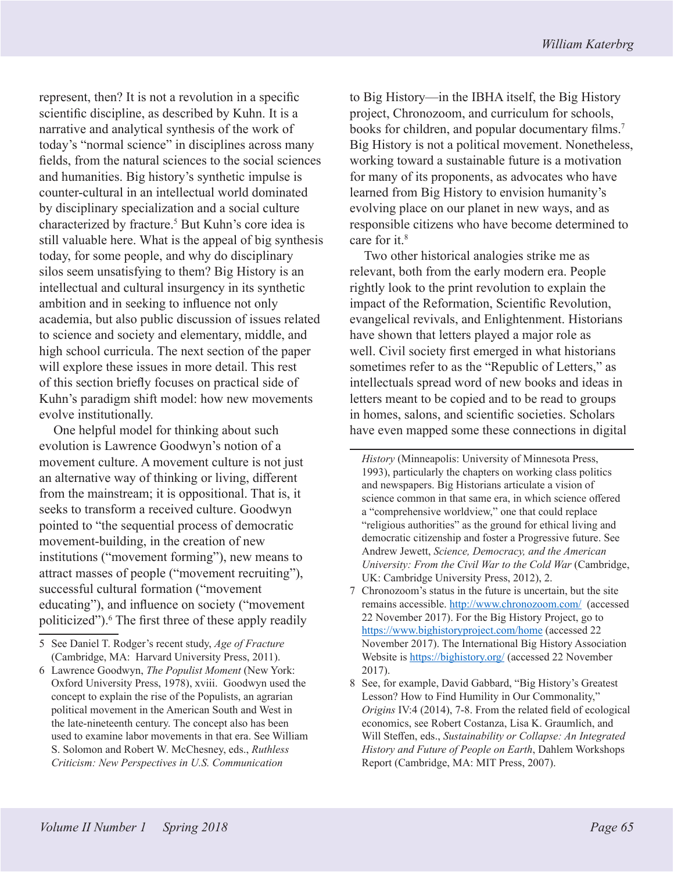represent, then? It is not a revolution in a specific scientific discipline, as described by Kuhn. It is a narrative and analytical synthesis of the work of today's "normal science" in disciplines across many fields, from the natural sciences to the social sciences and humanities. Big history's synthetic impulse is counter-cultural in an intellectual world dominated by disciplinary specialization and a social culture characterized by fracture.<sup>5</sup> But Kuhn's core idea is still valuable here. What is the appeal of big synthesis today, for some people, and why do disciplinary silos seem unsatisfying to them? Big History is an intellectual and cultural insurgency in its synthetic ambition and in seeking to influence not only academia, but also public discussion of issues related to science and society and elementary, middle, and high school curricula. The next section of the paper will explore these issues in more detail. This rest of this section briefly focuses on practical side of Kuhn's paradigm shift model: how new movements evolve institutionally.

One helpful model for thinking about such evolution is Lawrence Goodwyn's notion of a movement culture. A movement culture is not just an alternative way of thinking or living, different from the mainstream; it is oppositional. That is, it seeks to transform a received culture. Goodwyn pointed to "the sequential process of democratic movement-building, in the creation of new institutions ("movement forming"), new means to attract masses of people ("movement recruiting"), successful cultural formation ("movement educating"), and influence on society ("movement politicized").<sup>6</sup> The first three of these apply readily to Big History—in the IBHA itself, the Big History project, Chronozoom, and curriculum for schools, books for children, and popular documentary films.<sup>7</sup> Big History is not a political movement. Nonetheless, working toward a sustainable future is a motivation for many of its proponents, as advocates who have learned from Big History to envision humanity's evolving place on our planet in new ways, and as responsible citizens who have become determined to care for it.<sup>8</sup>

Two other historical analogies strike me as relevant, both from the early modern era. People rightly look to the print revolution to explain the impact of the Reformation, Scientific Revolution, evangelical revivals, and Enlightenment. Historians have shown that letters played a major role as well. Civil society first emerged in what historians sometimes refer to as the "Republic of Letters," as intellectuals spread word of new books and ideas in letters meant to be copied and to be read to groups in homes, salons, and scientific societies. Scholars have even mapped some these connections in digital

<sup>5</sup> See Daniel T. Rodger's recent study, *Age of Fracture* (Cambridge, MA: Harvard University Press, 2011).

<sup>6</sup> Lawrence Goodwyn, *The Populist Moment* (New York: Oxford University Press, 1978), xviii. Goodwyn used the concept to explain the rise of the Populists, an agrarian political movement in the American South and West in the late-nineteenth century. The concept also has been used to examine labor movements in that era. See William S. Solomon and Robert W. McChesney, eds., *Ruthless Criticism: New Perspectives in U.S. Communication* 

*History* (Minneapolis: University of Minnesota Press, 1993), particularly the chapters on working class politics and newspapers. Big Historians articulate a vision of science common in that same era, in which science offered a "comprehensive worldview," one that could replace "religious authorities" as the ground for ethical living and democratic citizenship and foster a Progressive future. See Andrew Jewett, *Science, Democracy, and the American University: From the Civil War to the Cold War* (Cambridge, UK: Cambridge University Press, 2012), 2.

<sup>7</sup> Chronozoom's status in the future is uncertain, but the site remains accessible. http://www.chronozoom.com/ (accessed 22 November 2017). For the Big History Project, go to https://www.bighistoryproject.com/home (accessed 22 November 2017). The International Big History Association Website is https://bighistory.org/ (accessed 22 November 2017).

<sup>8</sup> See, for example, David Gabbard, "Big History's Greatest Lesson? How to Find Humility in Our Commonality," *Origins* IV:4 (2014), 7-8. From the related field of ecological economics, see Robert Costanza, Lisa K. Graumlich, and Will Steffen, eds., *Sustainability or Collapse: An Integrated History and Future of People on Earth*, Dahlem Workshops Report (Cambridge, MA: MIT Press, 2007).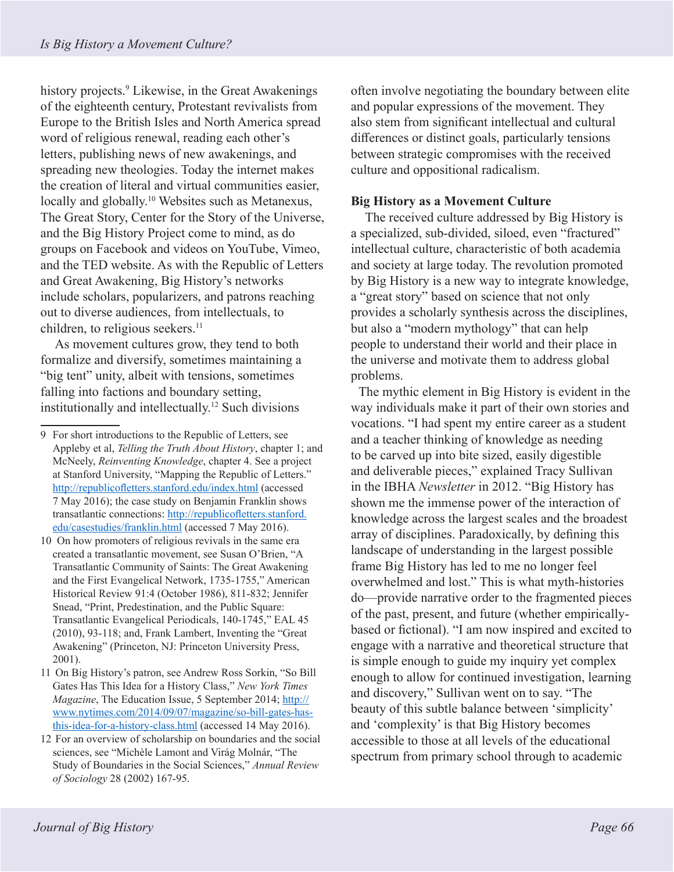history projects.<sup>9</sup> Likewise, in the Great Awakenings of the eighteenth century, Protestant revivalists from Europe to the British Isles and North America spread word of religious renewal, reading each other's letters, publishing news of new awakenings, and spreading new theologies. Today the internet makes the creation of literal and virtual communities easier, locally and globally.<sup>10</sup> Websites such as Metanexus, The Great Story, Center for the Story of the Universe, and the Big History Project come to mind, as do groups on Facebook and videos on YouTube, Vimeo, and the TED website. As with the Republic of Letters and Great Awakening, Big History's networks include scholars, popularizers, and patrons reaching out to diverse audiences, from intellectuals, to children, to religious seekers.<sup>11</sup>

As movement cultures grow, they tend to both formalize and diversify, sometimes maintaining a "big tent" unity, albeit with tensions, sometimes falling into factions and boundary setting, institutionally and intellectually.12 Such divisions

- 11 On Big History's patron, see Andrew Ross Sorkin, "So Bill Gates Has This Idea for a History Class," *New York Times Magazine*, The Education Issue, 5 September 2014; http:// www.nytimes.com/2014/09/07/magazine/so-bill-gates-hasthis-idea-for-a-history-class.html (accessed 14 May 2016).
- 12 For an overview of scholarship on boundaries and the social sciences, see "Michèle Lamont and Virág Molnár, "The Study of Boundaries in the Social Sciences," *Annual Review of Sociology* 28 (2002) 167-95.

often involve negotiating the boundary between elite and popular expressions of the movement. They also stem from significant intellectual and cultural differences or distinct goals, particularly tensions between strategic compromises with the received culture and oppositional radicalism.

### **Big History as a Movement Culture**

The received culture addressed by Big History is a specialized, sub-divided, siloed, even "fractured" intellectual culture, characteristic of both academia and society at large today. The revolution promoted by Big History is a new way to integrate knowledge, a "great story" based on science that not only provides a scholarly synthesis across the disciplines, but also a "modern mythology" that can help people to understand their world and their place in the universe and motivate them to address global problems.

The mythic element in Big History is evident in the way individuals make it part of their own stories and vocations. "I had spent my entire career as a student and a teacher thinking of knowledge as needing to be carved up into bite sized, easily digestible and deliverable pieces," explained Tracy Sullivan in the IBHA *Newsletter* in 2012. "Big History has shown me the immense power of the interaction of knowledge across the largest scales and the broadest array of disciplines. Paradoxically, by defining this landscape of understanding in the largest possible frame Big History has led to me no longer feel overwhelmed and lost." This is what myth-histories do—provide narrative order to the fragmented pieces of the past, present, and future (whether empiricallybased or fictional). "I am now inspired and excited to engage with a narrative and theoretical structure that is simple enough to guide my inquiry yet complex enough to allow for continued investigation, learning and discovery," Sullivan went on to say. "The beauty of this subtle balance between 'simplicity' and 'complexity' is that Big History becomes accessible to those at all levels of the educational spectrum from primary school through to academic

<sup>9</sup> For short introductions to the Republic of Letters, see Appleby et al, *Telling the Truth About History*, chapter 1; and McNeely, *Reinventing Knowledge*, chapter 4. See a project at Stanford University, "Mapping the Republic of Letters." http://republicofletters.stanford.edu/index.html (accessed 7 May 2016); the case study on Benjamin Franklin shows transatlantic connections: http://republicofletters.stanford. edu/casestudies/franklin.html (accessed 7 May 2016).

<sup>10</sup> On how promoters of religious revivals in the same era created a transatlantic movement, see Susan O'Brien, "A Transatlantic Community of Saints: The Great Awakening and the First Evangelical Network, 1735-1755," American Historical Review 91:4 (October 1986), 811-832; Jennifer Snead, "Print, Predestination, and the Public Square: Transatlantic Evangelical Periodicals, 140-1745," EAL 45 (2010), 93-118; and, Frank Lambert, Inventing the "Great Awakening" (Princeton, NJ: Princeton University Press, 2001).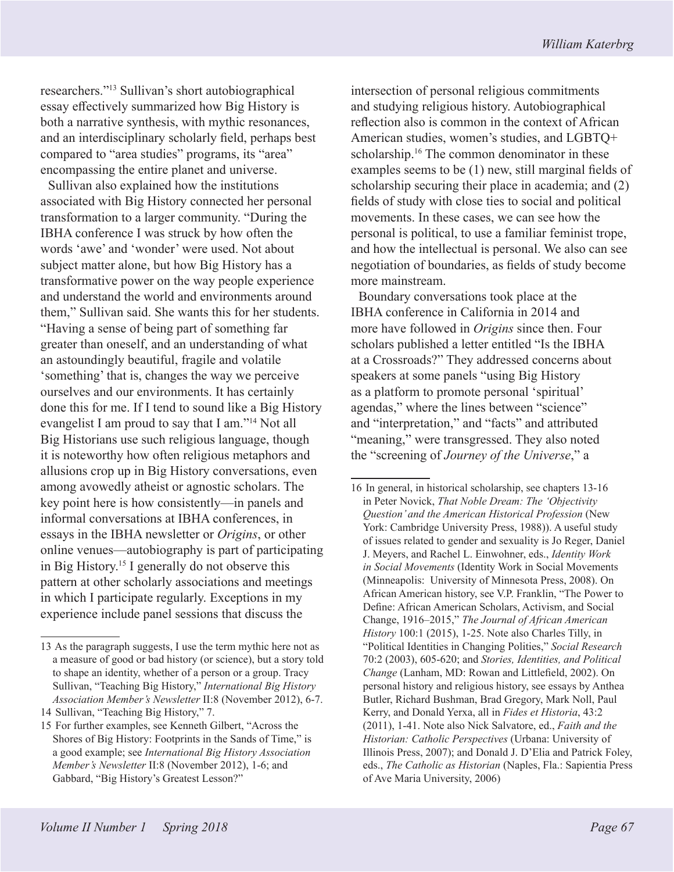researchers."13 Sullivan's short autobiographical essay effectively summarized how Big History is both a narrative synthesis, with mythic resonances, and an interdisciplinary scholarly field, perhaps best compared to "area studies" programs, its "area" encompassing the entire planet and universe.

Sullivan also explained how the institutions associated with Big History connected her personal transformation to a larger community. "During the IBHA conference I was struck by how often the words 'awe' and 'wonder' were used. Not about subject matter alone, but how Big History has a transformative power on the way people experience and understand the world and environments around them," Sullivan said. She wants this for her students. "Having a sense of being part of something far greater than oneself, and an understanding of what an astoundingly beautiful, fragile and volatile 'something' that is, changes the way we perceive ourselves and our environments. It has certainly done this for me. If I tend to sound like a Big History evangelist I am proud to say that I am."14 Not all Big Historians use such religious language, though it is noteworthy how often religious metaphors and allusions crop up in Big History conversations, even among avowedly atheist or agnostic scholars. The key point here is how consistently—in panels and informal conversations at IBHA conferences, in essays in the IBHA newsletter or *Origins*, or other online venues—autobiography is part of participating in Big History.15 I generally do not observe this pattern at other scholarly associations and meetings in which I participate regularly. Exceptions in my experience include panel sessions that discuss the

intersection of personal religious commitments and studying religious history. Autobiographical reflection also is common in the context of African American studies, women's studies, and LGBTQ+ scholarship.16 The common denominator in these examples seems to be (1) new, still marginal fields of scholarship securing their place in academia; and (2) fields of study with close ties to social and political movements. In these cases, we can see how the personal is political, to use a familiar feminist trope, and how the intellectual is personal. We also can see negotiation of boundaries, as fields of study become more mainstream.

Boundary conversations took place at the IBHA conference in California in 2014 and more have followed in *Origins* since then. Four scholars published a letter entitled "Is the IBHA at a Crossroads?" They addressed concerns about speakers at some panels "using Big History as a platform to promote personal 'spiritual' agendas," where the lines between "science" and "interpretation," and "facts" and attributed "meaning," were transgressed. They also noted the "screening of *Journey of the Universe*," a

<sup>13</sup> As the paragraph suggests, I use the term mythic here not as a measure of good or bad history (or science), but a story told to shape an identity, whether of a person or a group. Tracy Sullivan, "Teaching Big History," *International Big History Association Member's Newsletter* II:8 (November 2012), 6-7.

<sup>14</sup> Sullivan, "Teaching Big History," 7.

<sup>15</sup> For further examples, see Kenneth Gilbert, "Across the Shores of Big History: Footprints in the Sands of Time," is a good example; see *International Big History Association Member's Newsletter* II:8 (November 2012), 1-6; and Gabbard, "Big History's Greatest Lesson?"

<sup>16</sup> In general, in historical scholarship, see chapters 13-16 in Peter Novick, *That Noble Dream: The 'Objectivity Question' and the American Historical Profession* (New York: Cambridge University Press, 1988)). A useful study of issues related to gender and sexuality is Jo Reger, Daniel J. Meyers, and Rachel L. Einwohner, eds., *Identity Work in Social Movements* (Identity Work in Social Movements (Minneapolis: University of Minnesota Press, 2008). On African American history, see V.P. Franklin, "The Power to Define: African American Scholars, Activism, and Social Change, 1916–2015," *The Journal of African American History* 100:1 (2015), 1-25. Note also Charles Tilly, in "Political Identities in Changing Polities," *Social Research* 70:2 (2003), 605-620; and *Stories, Identities, and Political Change* (Lanham, MD: Rowan and Littlefield, 2002). On personal history and religious history, see essays by Anthea Butler, Richard Bushman, Brad Gregory, Mark Noll, Paul Kerry, and Donald Yerxa, all in *Fides et Historia*, 43:2 (2011), 1-41. Note also Nick Salvatore, ed., *Faith and the Historian: Catholic Perspectives* (Urbana: University of Illinois Press, 2007); and Donald J. D'Elia and Patrick Foley, eds., *The Catholic as Historian* (Naples, Fla.: Sapientia Press of Ave Maria University, 2006)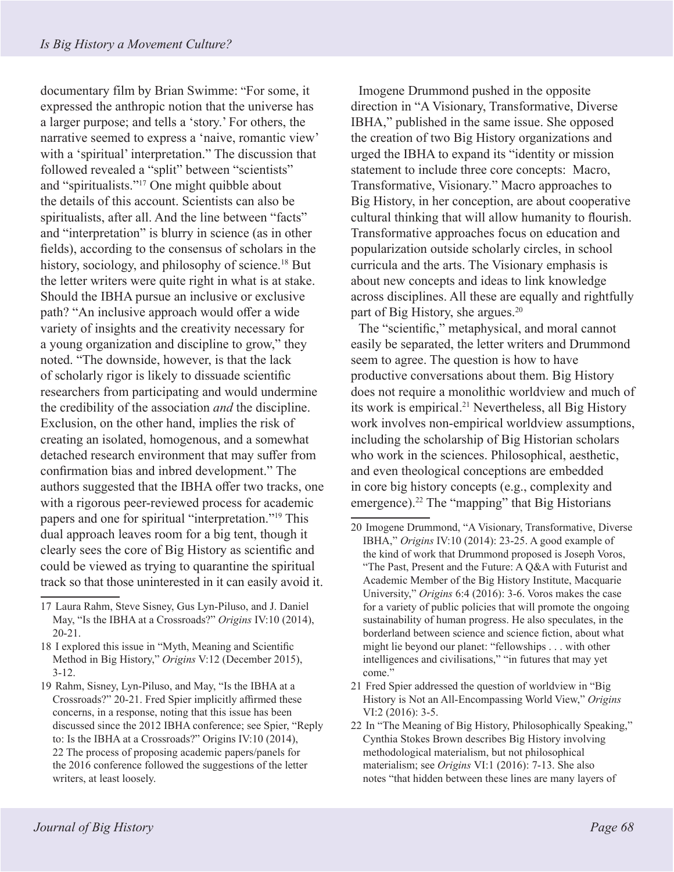documentary film by Brian Swimme: "For some, it expressed the anthropic notion that the universe has a larger purpose; and tells a 'story.' For others, the narrative seemed to express a 'naive, romantic view' with a 'spiritual' interpretation." The discussion that followed revealed a "split" between "scientists" and "spiritualists."<sup>17</sup> One might quibble about the details of this account. Scientists can also be spiritualists, after all. And the line between "facts" and "interpretation" is blurry in science (as in other fields), according to the consensus of scholars in the history, sociology, and philosophy of science.<sup>18</sup> But the letter writers were quite right in what is at stake. Should the IBHA pursue an inclusive or exclusive path? "An inclusive approach would offer a wide variety of insights and the creativity necessary for a young organization and discipline to grow," they noted. "The downside, however, is that the lack of scholarly rigor is likely to dissuade scientific researchers from participating and would undermine the credibility of the association *and* the discipline. Exclusion, on the other hand, implies the risk of creating an isolated, homogenous, and a somewhat detached research environment that may suffer from confirmation bias and inbred development." The authors suggested that the IBHA offer two tracks, one with a rigorous peer-reviewed process for academic papers and one for spiritual "interpretation."<sup>19</sup> This dual approach leaves room for a big tent, though it clearly sees the core of Big History as scientific and could be viewed as trying to quarantine the spiritual track so that those uninterested in it can easily avoid it.

19 Rahm, Sisney, Lyn-Piluso, and May, "Is the IBHA at a Crossroads?" 20-21. Fred Spier implicitly affirmed these concerns, in a response, noting that this issue has been discussed since the 2012 IBHA conference; see Spier, "Reply to: Is the IBHA at a Crossroads?" Origins IV:10 (2014), 22 The process of proposing academic papers/panels for the 2016 conference followed the suggestions of the letter writers, at least loosely.

Imogene Drummond pushed in the opposite direction in "A Visionary, Transformative, Diverse IBHA," published in the same issue. She opposed the creation of two Big History organizations and urged the IBHA to expand its "identity or mission statement to include three core concepts: Macro, Transformative, Visionary." Macro approaches to Big History, in her conception, are about cooperative cultural thinking that will allow humanity to flourish. Transformative approaches focus on education and popularization outside scholarly circles, in school curricula and the arts. The Visionary emphasis is about new concepts and ideas to link knowledge across disciplines. All these are equally and rightfully part of Big History, she argues.20

The "scientific," metaphysical, and moral cannot easily be separated, the letter writers and Drummond seem to agree. The question is how to have productive conversations about them. Big History does not require a monolithic worldview and much of its work is empirical.21 Nevertheless, all Big History work involves non-empirical worldview assumptions, including the scholarship of Big Historian scholars who work in the sciences. Philosophical, aesthetic, and even theological conceptions are embedded in core big history concepts (e.g., complexity and emergence).<sup>22</sup> The "mapping" that Big Historians

<sup>17</sup> Laura Rahm, Steve Sisney, Gus Lyn-Piluso, and J. Daniel May, "Is the IBHA at a Crossroads?" *Origins* IV:10 (2014), 20-21.

<sup>18</sup> I explored this issue in "Myth, Meaning and Scientific Method in Big History," *Origins* V:12 (December 2015), 3-12.

<sup>20</sup> Imogene Drummond, "A Visionary, Transformative, Diverse IBHA," *Origins* IV:10 (2014): 23-25. A good example of the kind of work that Drummond proposed is Joseph Voros, "The Past, Present and the Future: A Q&A with Futurist and Academic Member of the Big History Institute, Macquarie University," *Origins* 6:4 (2016): 3-6. Voros makes the case for a variety of public policies that will promote the ongoing sustainability of human progress. He also speculates, in the borderland between science and science fiction, about what might lie beyond our planet: "fellowships . . . with other intelligences and civilisations," "in futures that may yet come."

<sup>21</sup> Fred Spier addressed the question of worldview in "Big History is Not an All-Encompassing World View," *Origins*  VI:2 (2016): 3-5.

<sup>22</sup> In "The Meaning of Big History, Philosophically Speaking," Cynthia Stokes Brown describes Big History involving methodological materialism, but not philosophical materialism; see *Origins* VI:1 (2016): 7-13. She also notes "that hidden between these lines are many layers of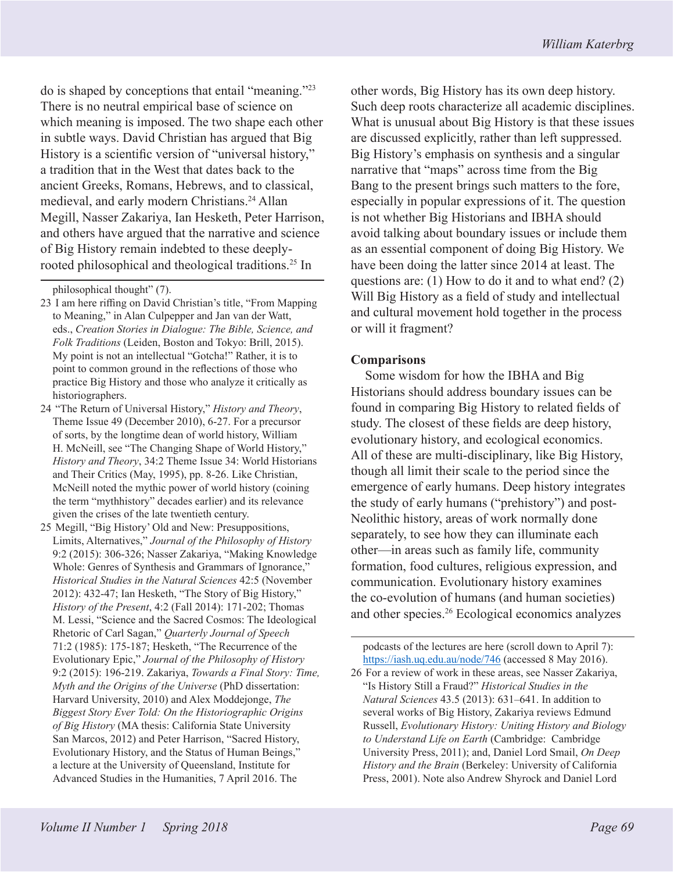do is shaped by conceptions that entail "meaning."23 There is no neutral empirical base of science on which meaning is imposed. The two shape each other in subtle ways. David Christian has argued that Big History is a scientific version of "universal history," a tradition that in the West that dates back to the ancient Greeks, Romans, Hebrews, and to classical, medieval, and early modern Christians.<sup>24</sup> Allan Megill, Nasser Zakariya, Ian Hesketh, Peter Harrison, and others have argued that the narrative and science of Big History remain indebted to these deeplyrooted philosophical and theological traditions.<sup>25</sup> In

- 24 "The Return of Universal History," *History and Theory*, Theme Issue 49 (December 2010), 6-27. For a precursor of sorts, by the longtime dean of world history, William H. McNeill, see "The Changing Shape of World History," *History and Theory*, 34:2 Theme Issue 34: World Historians and Their Critics (May, 1995), pp. 8-26. Like Christian, McNeill noted the mythic power of world history (coining the term "mythhistory" decades earlier) and its relevance given the crises of the late twentieth century.
- 25 Megill, "Big History' Old and New: Presuppositions, Limits, Alternatives," *Journal of the Philosophy of History*  9:2 (2015): 306-326; Nasser Zakariya, "Making Knowledge Whole: Genres of Synthesis and Grammars of Ignorance," *Historical Studies in the Natural Sciences* 42:5 (November 2012): 432-47; Ian Hesketh, "The Story of Big History," *History of the Present*, 4:2 (Fall 2014): 171-202; Thomas M. Lessi, "Science and the Sacred Cosmos: The Ideological Rhetoric of Carl Sagan," *Quarterly Journal of Speech*  71:2 (1985): 175-187; Hesketh, "The Recurrence of the Evolutionary Epic," *Journal of the Philosophy of History*  9:2 (2015): 196-219. Zakariya, *Towards a Final Story: Time, Myth and the Origins of the Universe* (PhD dissertation: Harvard University, 2010) and Alex Moddejonge, *The Biggest Story Ever Told: On the Historiographic Origins of Big History* (MA thesis: California State University San Marcos, 2012) and Peter Harrison, "Sacred History, Evolutionary History, and the Status of Human Beings," a lecture at the University of Queensland, Institute for Advanced Studies in the Humanities, 7 April 2016. The

other words, Big History has its own deep history. Such deep roots characterize all academic disciplines. What is unusual about Big History is that these issues are discussed explicitly, rather than left suppressed. Big History's emphasis on synthesis and a singular narrative that "maps" across time from the Big Bang to the present brings such matters to the fore, especially in popular expressions of it. The question is not whether Big Historians and IBHA should avoid talking about boundary issues or include them as an essential component of doing Big History. We have been doing the latter since 2014 at least. The questions are: (1) How to do it and to what end? (2) Will Big History as a field of study and intellectual and cultural movement hold together in the process or will it fragment?

# **Comparisons**

Some wisdom for how the IBHA and Big Historians should address boundary issues can be found in comparing Big History to related fields of study. The closest of these fields are deep history, evolutionary history, and ecological economics. All of these are multi-disciplinary, like Big History, though all limit their scale to the period since the emergence of early humans. Deep history integrates the study of early humans ("prehistory") and post-Neolithic history, areas of work normally done separately, to see how they can illuminate each other—in areas such as family life, community formation, food cultures, religious expression, and communication. Evolutionary history examines the co-evolution of humans (and human societies) and other species.26 Ecological economics analyzes

podcasts of the lectures are here (scroll down to April 7): https://iash.uq.edu.au/node/746 (accessed 8 May 2016).

26 For a review of work in these areas, see Nasser Zakariya, "Is History Still a Fraud?" *Historical Studies in the Natural Sciences* 43.5 (2013): 631–641. In addition to several works of Big History, Zakariya reviews Edmund Russell, *Evolutionary History: Uniting History and Biology to Understand Life on Earth* (Cambridge: Cambridge University Press, 2011); and, Daniel Lord Smail, *On Deep History and the Brain* (Berkeley: University of California Press, 2001). Note also Andrew Shyrock and Daniel Lord

philosophical thought" (7).

<sup>23</sup> I am here riffing on David Christian's title, "From Mapping to Meaning," in Alan Culpepper and Jan van der Watt, eds., *Creation Stories in Dialogue: The Bible, Science, and Folk Traditions* (Leiden, Boston and Tokyo: Brill, 2015). My point is not an intellectual "Gotcha!" Rather, it is to point to common ground in the reflections of those who practice Big History and those who analyze it critically as historiographers.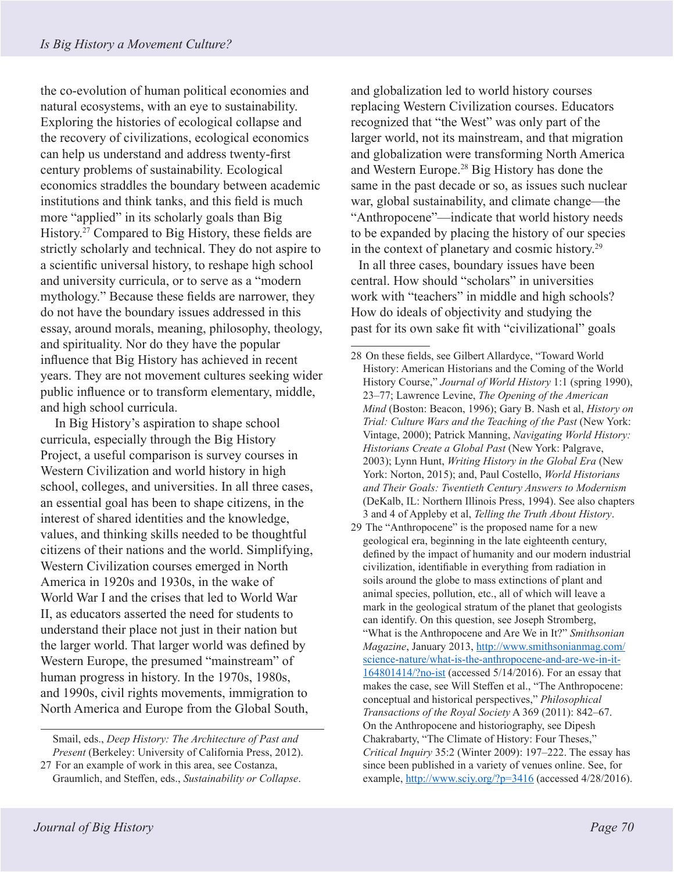the co-evolution of human political economies and natural ecosystems, with an eye to sustainability. Exploring the histories of ecological collapse and the recovery of civilizations, ecological economics can help us understand and address twenty-first century problems of sustainability. Ecological economics straddles the boundary between academic institutions and think tanks, and this field is much more "applied" in its scholarly goals than Big History.27 Compared to Big History, these fields are strictly scholarly and technical. They do not aspire to a scientific universal history, to reshape high school and university curricula, or to serve as a "modern mythology." Because these fields are narrower, they do not have the boundary issues addressed in this essay, around morals, meaning, philosophy, theology, and spirituality. Nor do they have the popular influence that Big History has achieved in recent years. They are not movement cultures seeking wider public influence or to transform elementary, middle, and high school curricula.

In Big History's aspiration to shape school curricula, especially through the Big History Project, a useful comparison is survey courses in Western Civilization and world history in high school, colleges, and universities. In all three cases, an essential goal has been to shape citizens, in the interest of shared identities and the knowledge, values, and thinking skills needed to be thoughtful citizens of their nations and the world. Simplifying, Western Civilization courses emerged in North America in 1920s and 1930s, in the wake of World War I and the crises that led to World War II, as educators asserted the need for students to understand their place not just in their nation but the larger world. That larger world was defined by Western Europe, the presumed "mainstream" of human progress in history. In the 1970s, 1980s, and 1990s, civil rights movements, immigration to North America and Europe from the Global South,

and globalization led to world history courses replacing Western Civilization courses. Educators recognized that "the West" was only part of the larger world, not its mainstream, and that migration and globalization were transforming North America and Western Europe.28 Big History has done the same in the past decade or so, as issues such nuclear war, global sustainability, and climate change—the "Anthropocene"—indicate that world history needs to be expanded by placing the history of our species in the context of planetary and cosmic history.29

In all three cases, boundary issues have been central. How should "scholars" in universities work with "teachers" in middle and high schools? How do ideals of objectivity and studying the past for its own sake fit with "civilizational" goals

Smail, eds., *Deep History: The Architecture of Past and Present* (Berkeley: University of California Press, 2012).

<sup>27</sup> For an example of work in this area, see Costanza, Graumlich, and Steffen, eds., *Sustainability or Collapse*.

<sup>28</sup> On these fields, see Gilbert Allardyce, "Toward World History: American Historians and the Coming of the World History Course," *Journal of World History* 1:1 (spring 1990), 23–77; Lawrence Levine, *The Opening of the American Mind* (Boston: Beacon, 1996); Gary B. Nash et al, *History on Trial: Culture Wars and the Teaching of the Past* (New York: Vintage, 2000); Patrick Manning, *Navigating World History: Historians Create a Global Past* (New York: Palgrave, 2003); Lynn Hunt, *Writing History in the Global Era* (New York: Norton, 2015); and, Paul Costello, *World Historians and Their Goals: Twentieth Century Answers to Modernism* (DeKalb, IL: Northern Illinois Press, 1994). See also chapters 3 and 4 of Appleby et al, *Telling the Truth About History*.

<sup>29</sup> The "Anthropocene" is the proposed name for a new geological era, beginning in the late eighteenth century, defined by the impact of humanity and our modern industrial civilization, identifiable in everything from radiation in soils around the globe to mass extinctions of plant and animal species, pollution, etc., all of which will leave a mark in the geological stratum of the planet that geologists can identify. On this question, see Joseph Stromberg, "What is the Anthropocene and Are We in It?" *Smithsonian Magazine*, January 2013, http://www.smithsonianmag.com/ science-nature/what-is-the-anthropocene-and-are-we-in-it-164801414/?no-ist (accessed 5/14/2016). For an essay that makes the case, see Will Steffen et al., "The Anthropocene: conceptual and historical perspectives," *Philosophical Transactions of the Royal Society* A 369 (2011): 842–67. On the Anthropocene and historiography, see Dipesh Chakrabarty, "The Climate of History: Four Theses," *Critical Inquiry* 35:2 (Winter 2009): 197–222. The essay has since been published in a variety of venues online. See, for example, http://www.sciy.org/?p=3416 (accessed 4/28/2016).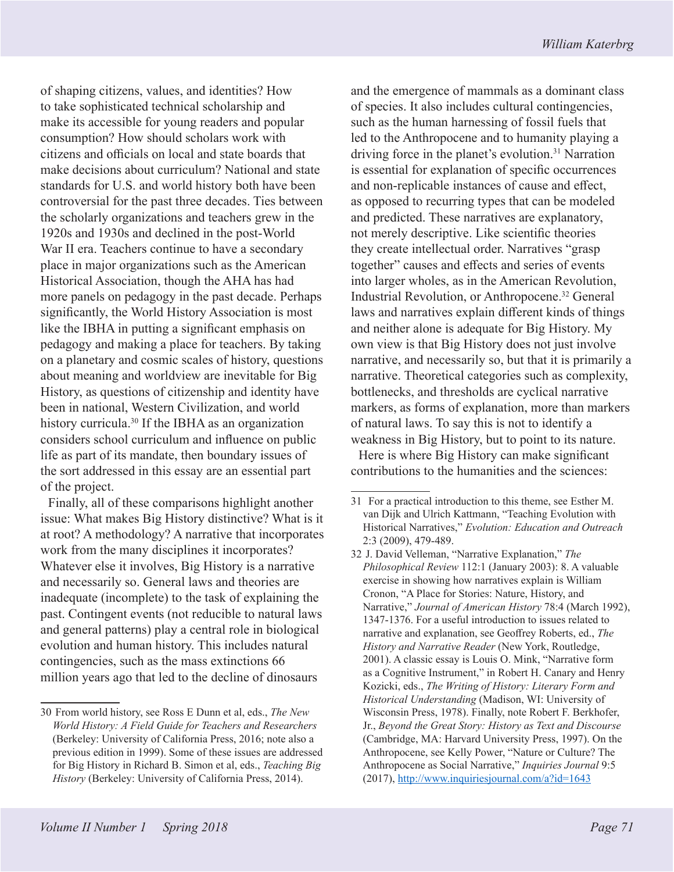of shaping citizens, values, and identities? How to take sophisticated technical scholarship and make its accessible for young readers and popular consumption? How should scholars work with citizens and officials on local and state boards that make decisions about curriculum? National and state standards for U.S. and world history both have been controversial for the past three decades. Ties between the scholarly organizations and teachers grew in the 1920s and 1930s and declined in the post-World War II era. Teachers continue to have a secondary place in major organizations such as the American Historical Association, though the AHA has had more panels on pedagogy in the past decade. Perhaps significantly, the World History Association is most like the IBHA in putting a significant emphasis on pedagogy and making a place for teachers. By taking on a planetary and cosmic scales of history, questions about meaning and worldview are inevitable for Big History, as questions of citizenship and identity have been in national, Western Civilization, and world history curricula.<sup>30</sup> If the IBHA as an organization considers school curriculum and influence on public life as part of its mandate, then boundary issues of the sort addressed in this essay are an essential part of the project.

Finally, all of these comparisons highlight another issue: What makes Big History distinctive? What is it at root? A methodology? A narrative that incorporates work from the many disciplines it incorporates? Whatever else it involves, Big History is a narrative and necessarily so. General laws and theories are inadequate (incomplete) to the task of explaining the past. Contingent events (not reducible to natural laws and general patterns) play a central role in biological evolution and human history. This includes natural contingencies, such as the mass extinctions 66 million years ago that led to the decline of dinosaurs

and the emergence of mammals as a dominant class of species. It also includes cultural contingencies, such as the human harnessing of fossil fuels that led to the Anthropocene and to humanity playing a driving force in the planet's evolution.<sup>31</sup> Narration is essential for explanation of specific occurrences and non-replicable instances of cause and effect, as opposed to recurring types that can be modeled and predicted. These narratives are explanatory, not merely descriptive. Like scientific theories they create intellectual order. Narratives "grasp together" causes and effects and series of events into larger wholes, as in the American Revolution, Industrial Revolution, or Anthropocene.32 General laws and narratives explain different kinds of things and neither alone is adequate for Big History. My own view is that Big History does not just involve narrative, and necessarily so, but that it is primarily a narrative. Theoretical categories such as complexity, bottlenecks, and thresholds are cyclical narrative markers, as forms of explanation, more than markers of natural laws. To say this is not to identify a weakness in Big History, but to point to its nature.

Here is where Big History can make significant contributions to the humanities and the sciences:

<sup>30</sup> From world history, see Ross E Dunn et al, eds., *The New World History: A Field Guide for Teachers and Researchers* (Berkeley: University of California Press, 2016; note also a previous edition in 1999). Some of these issues are addressed for Big History in Richard B. Simon et al, eds., *Teaching Big History* (Berkeley: University of California Press, 2014).

<sup>31</sup> For a practical introduction to this theme, see Esther M. van Dijk and Ulrich Kattmann, "Teaching Evolution with Historical Narratives," *Evolution: Education and Outreach*  2:3 (2009), 479-489.

<sup>32</sup> J. David Velleman, "Narrative Explanation," *The Philosophical Review* 112:1 (January 2003): 8. A valuable exercise in showing how narratives explain is William Cronon, "A Place for Stories: Nature, History, and Narrative," *Journal of American History* 78:4 (March 1992), 1347-1376. For a useful introduction to issues related to narrative and explanation, see Geoffrey Roberts, ed., *The History and Narrative Reader* (New York, Routledge, 2001). A classic essay is Louis O. Mink, "Narrative form as a Cognitive Instrument," in Robert H. Canary and Henry Kozicki, eds., *The Writing of History: Literary Form and Historical Understanding* (Madison, WI: University of Wisconsin Press, 1978). Finally, note Robert F. Berkhofer, Jr., *Beyond the Great Story: History as Text and Discourse* (Cambridge, MA: Harvard University Press, 1997). On the Anthropocene, see Kelly Power, "Nature or Culture? The Anthropocene as Social Narrative," *Inquiries Journal* 9:5 (2017), http://www.inquiriesjournal.com/a?id=1643